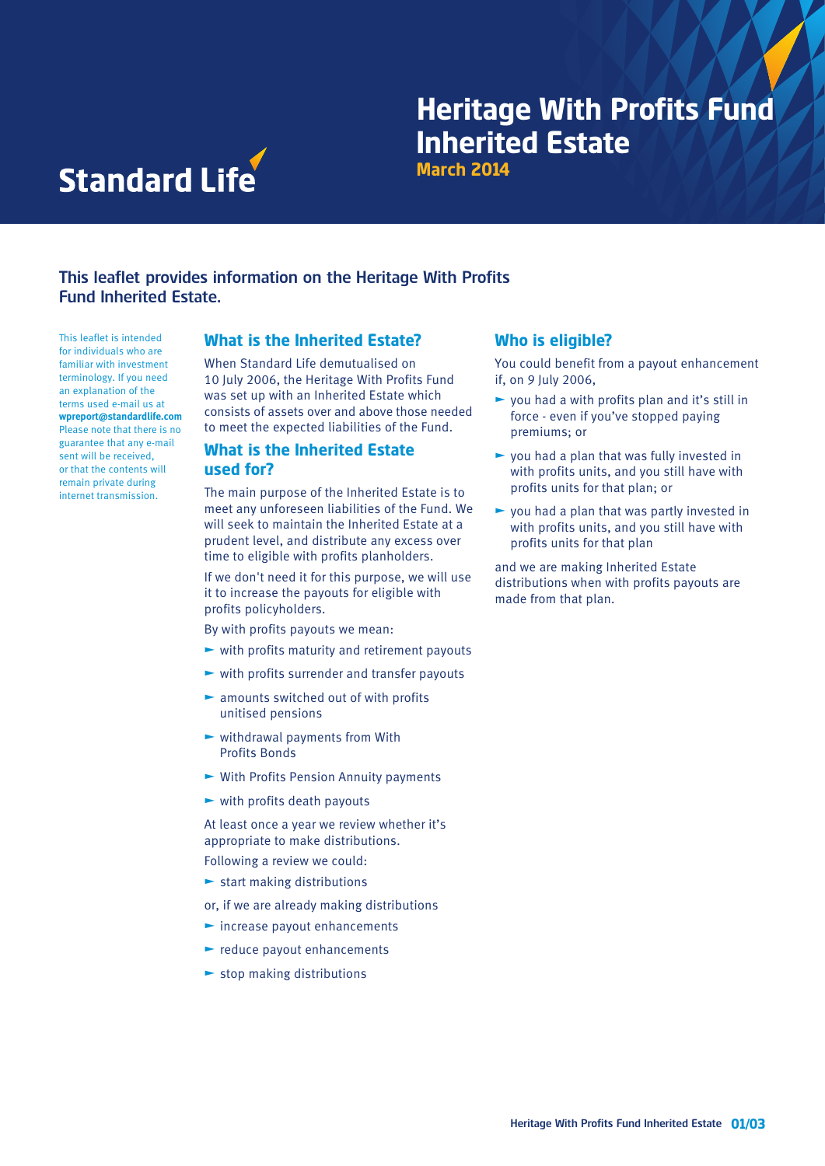# **March 2014 Heritage With Profits Fund Inherited Estate**



# This leaflet provides information on the Heritage With Profits Fund Inherited Estate.

This leaflet is intended for individuals who are familiar with investment terminology. If you need an explanation of the terms used e-mail us at **wpreport@standardlife.com** Please note that there is no guarantee that any e-mail sent will be received, or that the contents will remain private during internet transmission.

#### **What is the Inherited Estate?**

When Standard Life demutualised on 10 July 2006, the Heritage With Profits Fund was set up with an Inherited Estate which consists of assets over and above those needed to meet the expected liabilities of the Fund.

#### **What is the Inherited Estate used for?**

The main purpose of the Inherited Estate is to meet any unforeseen liabilities of the Fund. We will seek to maintain the Inherited Estate at a prudent level, and distribute any excess over time to eligible with profits planholders.

If we don't need it for this purpose, we will use it to increase the payouts for eligible with profits policyholders.

- By with profits payouts we mean:
- $\blacktriangleright$  with profits maturity and retirement payouts
- $\blacktriangleright$  with profits surrender and transfer payouts
- $\blacktriangleright$  amounts switched out of with profits unitised pensions
- $\blacktriangleright$  withdrawal payments from With Profits Bonds
- $\blacktriangleright$  With Profits Pension Annuity payments
- $\blacktriangleright$  with profits death payouts

At least once a year we review whether it's appropriate to make distributions.

Following a review we could:

- $\blacktriangleright$  start making distributions
- or, if we are already making distributions
- $\blacktriangleright$  increase payout enhancements
- $\blacktriangleright$  reduce payout enhancements
- $\blacktriangleright$  stop making distributions

#### **Who is eligible?**

You could benefit from a payout enhancement if, on 9 July 2006,

- $\triangleright$  you had a with profits plan and it's still in force - even if you've stopped paying premiums; or
- $\blacktriangleright$  you had a plan that was fully invested in with profits units, and you still have with profits units for that plan; or
- $\blacktriangleright$  you had a plan that was partly invested in with profits units, and you still have with profits units for that plan

and we are making Inherited Estate distributions when with profits payouts are made from that plan.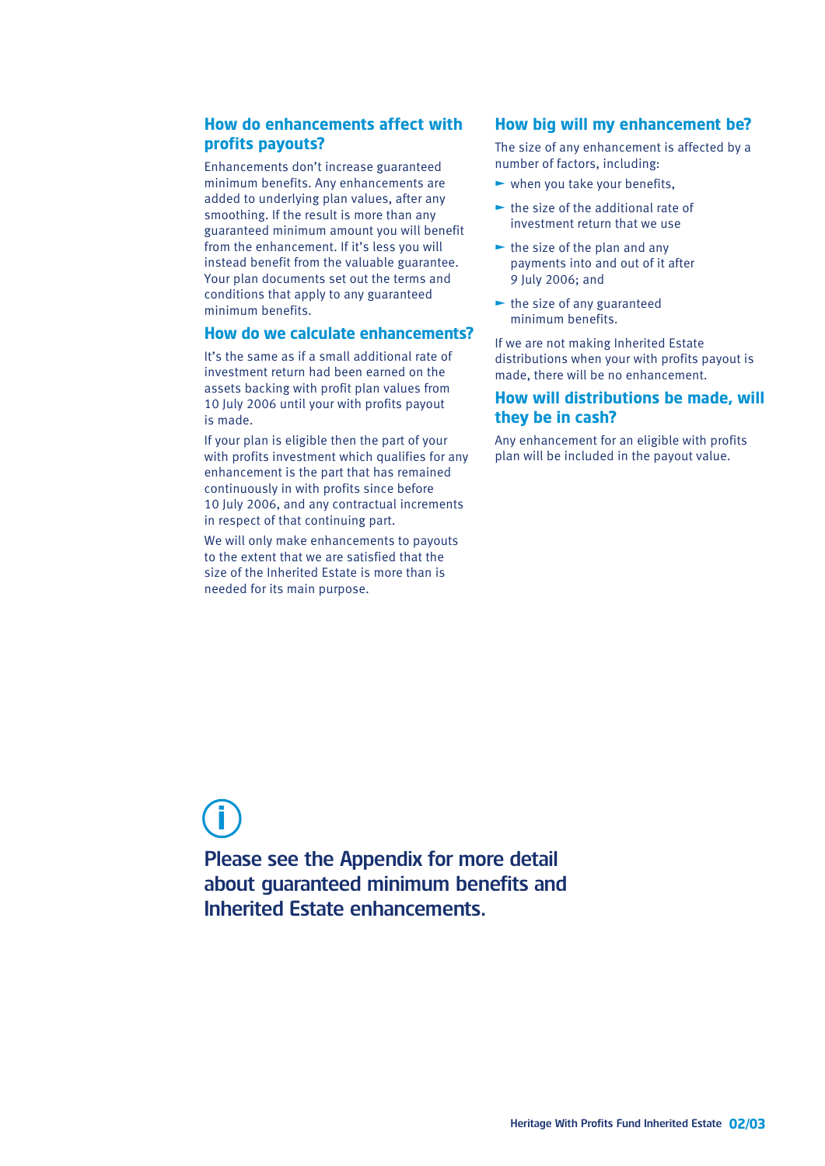## **How do enhancements affect with profits payouts?**

Enhancements don't increase guaranteed minimum benefits. Any enhancements are added to underlying plan values, after any smoothing. If the result is more than any guaranteed minimum amount you will benefit from the enhancement. If it's less you will instead benefit from the valuable guarantee. Your plan documents set out the terms and conditions that apply to any guaranteed minimum benefits.

#### **How do we calculate enhancements?**

It's the same as if a small additional rate of investment return had been earned on the assets backing with profit plan values from 10 July 2006 until your with profits payout is made.

If your plan is eligible then the part of your with profits investment which qualifies for any enhancement is the part that has remained continuously in with profits since before 10 July 2006, and any contractual increments in respect of that continuing part.

We will only make enhancements to payouts to the extent that we are satisfied that the size of the Inherited Estate is more than is needed for its main purpose.

### **How big will my enhancement be?**

The size of any enhancement is affected by a number of factors, including:

- $\blacktriangleright$  when you take your benefits,
- $\blacktriangleright$  the size of the additional rate of investment return that we use
- $\blacktriangleright$  the size of the plan and any payments into and out of it after 9 July 2006; and
- $\blacktriangleright$  the size of any guaranteed minimum benefits.

If we are not making Inherited Estate distributions when your with profits payout is made, there will be no enhancement.

### **How will distributions be made, will they be in cash?**

Any enhancement for an eligible with profits plan will be included in the payout value.

# **i**

Please see the Appendix for more detail about guaranteed minimum benefits and Inherited Estate enhancements.